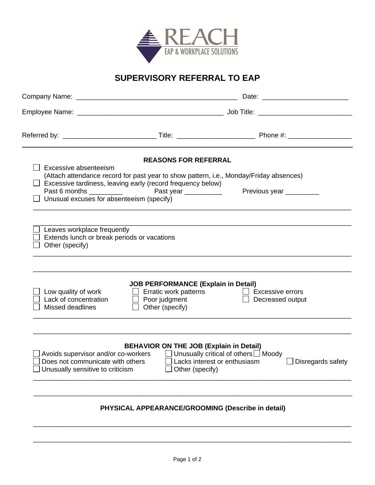

## **SUPERVISORY REFERRAL TO EAP**

| Excessive absenteeism<br>Unusual excuses for absenteeism (specify)                                          | <b>REASONS FOR REFERRAL</b><br>Excessive tardiness, leaving early (record frequency below)                                                 | (Attach attendance record for past year to show pattern, i.e., Monday/Friday absences)<br>Previous year |  |
|-------------------------------------------------------------------------------------------------------------|--------------------------------------------------------------------------------------------------------------------------------------------|---------------------------------------------------------------------------------------------------------|--|
| Leaves workplace frequently<br>Extends lunch or break periods or vacations<br>Other (specify)               |                                                                                                                                            |                                                                                                         |  |
| Low quality of work<br>Lack of concentration<br>Missed deadlines                                            | <b>JOB PERFORMANCE (Explain in Detail)</b><br>$\Box$ Erratic work patterns<br>$\Box$ Poor judgment<br>Other (specify)<br>$\vert \ \ \vert$ | $\Box$ Excessive errors<br>Decreased output                                                             |  |
| Avoids supervisor and/or co-workers<br>Does not communicate with others<br>Unusually sensitive to criticism | <b>BEHAVIOR ON THE JOB (Explain in Detail)</b><br>$\Box$ Lacks interest or enthusiasm<br>Other (specify)                                   | $\Box$ Unusually critical of others $\Box$ Moody<br>Disregards safety                                   |  |
|                                                                                                             | PHYSICAL APPEARANCE/GROOMING (Describe in detail)                                                                                          |                                                                                                         |  |

\_\_\_\_\_\_\_\_\_\_\_\_\_\_\_\_\_\_\_\_\_\_\_\_\_\_\_\_\_\_\_\_\_\_\_\_\_\_\_\_\_\_\_\_\_\_\_\_\_\_\_\_\_\_\_\_\_\_\_\_\_\_\_\_\_\_\_\_\_\_\_\_\_\_\_\_\_\_\_\_\_\_\_\_\_